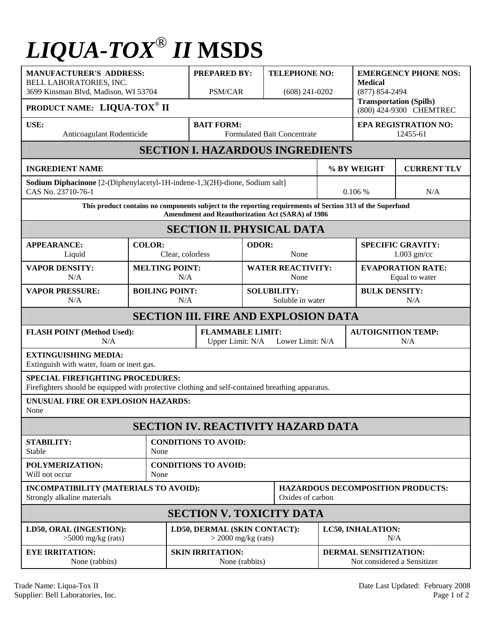## *LIQUA-TOX*® *II* **MSDS**

| <b>MANUFACTURER'S ADDRESS:</b><br>BELL LABORATORIES, INC.<br>3699 Kinsman Blvd, Madison, WI 53704                                                             |                                     |                                                       | <b>PREPARED BY:</b><br>PSM/CAR                                  |               | <b>TELEPHONE NO:</b><br>$(608)$ 241-0202 |                                                      | <b>EMERGENCY PHONE NOS:</b><br><b>Medical</b><br>$(877) 854 - 2494$ |                    |  |
|---------------------------------------------------------------------------------------------------------------------------------------------------------------|-------------------------------------|-------------------------------------------------------|-----------------------------------------------------------------|---------------|------------------------------------------|------------------------------------------------------|---------------------------------------------------------------------|--------------------|--|
| PRODUCT NAME: LIQUA-TOX <sup>®</sup> II                                                                                                                       |                                     |                                                       |                                                                 |               |                                          |                                                      | <b>Transportation (Spills)</b><br>(800) 424-9300 CHEMTREC           |                    |  |
| USE:<br>Anticoagulant Rodenticide                                                                                                                             |                                     |                                                       | <b>BAIT FORM:</b><br><b>Formulated Bait Concentrate</b>         |               |                                          | <b>EPA REGISTRATION NO:</b><br>12455-61              |                                                                     |                    |  |
| <b>SECTION I. HAZARDOUS INGREDIENTS</b>                                                                                                                       |                                     |                                                       |                                                                 |               |                                          |                                                      |                                                                     |                    |  |
| <b>INGREDIENT NAME</b>                                                                                                                                        |                                     |                                                       |                                                                 |               |                                          | % BY WEIGHT                                          |                                                                     | <b>CURRENT TLV</b> |  |
| Sodium Diphacinone [2-(Diphenylacetyl-1H-indene-1,3(2H)-dione, Sodium salt]<br>CAS No. 23710-76-1                                                             |                                     |                                                       |                                                                 |               |                                          |                                                      | 0.106%<br>N/A                                                       |                    |  |
| This product contains no components subject to the reporting requirements of Section 313 of the Superfund<br>Amendment and Reauthorization Act (SARA) of 1986 |                                     |                                                       |                                                                 |               |                                          |                                                      |                                                                     |                    |  |
| <b>SECTION II. PHYSICAL DATA</b>                                                                                                                              |                                     |                                                       |                                                                 |               |                                          |                                                      |                                                                     |                    |  |
| <b>APPEARANCE:</b><br>Liquid                                                                                                                                  | <b>COLOR:</b><br>Clear, colorless   |                                                       |                                                                 | ODOR:<br>None |                                          | <b>SPECIFIC GRAVITY:</b><br>$1.003$ gm/cc            |                                                                     |                    |  |
| <b>VAPOR DENSITY:</b><br>N/A                                                                                                                                  |                                     | <b>MELTING POINT:</b><br>N/A                          |                                                                 |               | <b>WATER REACTIVITY:</b><br>None         |                                                      | <b>EVAPORATION RATE:</b><br>Equal to water                          |                    |  |
| <b>VAPOR PRESSURE:</b><br>N/A                                                                                                                                 |                                     | <b>BOILING POINT:</b><br>N/A                          |                                                                 |               | <b>SOLUBILITY:</b><br>Soluble in water   |                                                      | <b>BULK DENSITY:</b><br>N/A                                         |                    |  |
| <b>SECTION III. FIRE AND EXPLOSION DATA</b>                                                                                                                   |                                     |                                                       |                                                                 |               |                                          |                                                      |                                                                     |                    |  |
| <b>FLASH POINT (Method Used):</b><br>N/A                                                                                                                      |                                     |                                                       | <b>FLAMMABLE LIMIT:</b><br>Lower Limit: N/A<br>Upper Limit: N/A |               |                                          |                                                      | <b>AUTOIGNITION TEMP:</b><br>N/A                                    |                    |  |
| <b>EXTINGUISHING MEDIA:</b><br>Extinguish with water, foam or inert gas.                                                                                      |                                     |                                                       |                                                                 |               |                                          |                                                      |                                                                     |                    |  |
| <b>SPECIAL FIREFIGHTING PROCEDURES:</b><br>Firefighters should be equipped with protective clothing and self-contained breathing apparatus.                   |                                     |                                                       |                                                                 |               |                                          |                                                      |                                                                     |                    |  |
| UNUSUAL FIRE OR EXPLOSION HAZARDS:<br>None                                                                                                                    |                                     |                                                       |                                                                 |               |                                          |                                                      |                                                                     |                    |  |
| <b>SECTION IV. REACTIVITY HAZARD DATA</b>                                                                                                                     |                                     |                                                       |                                                                 |               |                                          |                                                      |                                                                     |                    |  |
| <b>STABILITY:</b><br><b>Stable</b>                                                                                                                            | <b>CONDITIONS TO AVOID:</b><br>None |                                                       |                                                                 |               |                                          |                                                      |                                                                     |                    |  |
| POLYMERIZATION:<br>Will not occur                                                                                                                             |                                     | <b>CONDITIONS TO AVOID:</b><br>None                   |                                                                 |               |                                          |                                                      |                                                                     |                    |  |
| INCOMPATIBILITY (MATERIALS TO AVOID):<br>Strongly alkaline materials                                                                                          |                                     |                                                       | <b>HAZARDOUS DECOMPOSITION PRODUCTS:</b><br>Oxides of carbon    |               |                                          |                                                      |                                                                     |                    |  |
| <b>SECTION V. TOXICITY DATA</b>                                                                                                                               |                                     |                                                       |                                                                 |               |                                          |                                                      |                                                                     |                    |  |
| LD50, ORAL (INGESTION):<br>$>5000$ mg/kg (rats)                                                                                                               |                                     | LD50, DERMAL (SKIN CONTACT):<br>$>$ 2000 mg/kg (rats) |                                                                 |               |                                          | LC50, INHALATION:<br>N/A                             |                                                                     |                    |  |
| <b>EYE IRRITATION:</b><br>None (rabbits)                                                                                                                      |                                     |                                                       | <b>SKIN IRRITATION:</b><br>None (rabbits)                       |               |                                          | DERMAL SENSITIZATION:<br>Not considered a Sensitizer |                                                                     |                    |  |